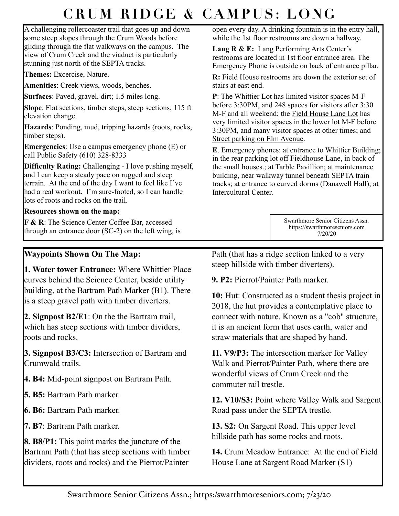## **CRUM RIDGE & CAMPUS: LONG**

A challenging rollercoaster trail that goes up and down some steep slopes through the Crum Woods before gliding through the flat walkways on the campus. The view of Crum Creek and the viaduct is particularly stunning just north of the SEPTA tracks.

**Themes:** Excercise, Nature.

**Amenities**: Creek views, woods, benches.

**Surfaces**: Paved, gravel, dirt; 1.5 miles long.

**Slope**: Flat sections, timber steps, steep sections; 115 ft elevation change.

**Hazards**: Ponding, mud, tripping hazards (roots, rocks, timber steps).

**Emergencies**: Use a campus emergency phone (E) or call Public Safety (610) 328-8333

**Difficulty Rating:** Challenging - I love pushing myself, and I can keep a steady pace on rugged and steep terrain. At the end of the day I want to feel like I've had a real workout. I'm sure-footed, so I can handle lots of roots and rocks on the trail.

## **Resources shown on the map:**

**F & R**: The Science Center Coffee Bar, accessed through an entrance door (SC-2) on the left wing, is

## **Waypoints Shown On The Map:**

**1. Water tower Entrance:** Where Whittier Place curves behind the Science Center, beside utility building, at the Bartram Path Marker (B1). There is a steep gravel path with timber diverters.

**2. Signpost B2/E1**: On the the Bartram trail, which has steep sections with timber dividers, roots and rocks.

**3. Signpost B3/C3:** Intersection of Bartram and Crumwald trails.

**4. B4:** Mid-point signpost on Bartram Path.

**5. B5:** Bartram Path marker.

**6. B6:** Bartram Path marker.

**7. B7**: Bartram Path marker.

**8. B8/P1:** This point marks the juncture of the Bartram Path (that has steep sections with timber dividers, roots and rocks) and the Pierrot/Painter

open every day. A drinking fountain is in the entry hall, while the 1st floor restrooms are down a hallway.

Lang R & E: Lang Performing Arts Center's restrooms are located in 1st floor entrance area. The Emergency Phone is outside on back of entrance pillar.

**R:** Field House restrooms are down the exterior set of stairs at east end.

**P**: The Whittier Lot has limited visitor spaces M-F before 3:30PM, and 248 spaces for visitors after 3:30 M-F and all weekend; the Field House Lane Lot has very limited visitor spaces in the lower lot M-F before 3:30PM, and many visitor spaces at other times; and Street parking on Elm Avenue.

**E**. Emergency phones: at entrance to Whittier Building; in the rear parking lot off Fieldhouse Lane, in back of the small houses.; at Tarble Pavillion; at maintenance building, near walkway tunnel beneath SEPTA train tracks; at entrance to curved dorms (Danawell Hall); at Intercultural Center.

> Swarthmore Senior Citizens Assn. https://swarthmoreseniors.com 7/20/20

Path (that has a ridge section linked to a very steep hillside with timber diverters).

**9. P2:** Pierrot/Painter Path marker.

**10:** Hut: Constructed as a student thesis project in 2018, the hut provides a contemplative place to connect with nature. Known as a "cob" structure, it is an ancient form that uses earth, water and straw materials that are shaped by hand.

**11. V9/P3:** The intersection marker for Valley Walk and Pierrot/Painter Path, where there are wonderful views of Crum Creek and the commuter rail trestle.

**12. V10/S3:** Point where Valley Walk and Sargent Road pass under the SEPTA trestle.

**13. S2:** On Sargent Road. This upper level hillside path has some rocks and roots.

**14.** Crum Meadow Entrance: At the end of Field House Lane at Sargent Road Marker (S1)